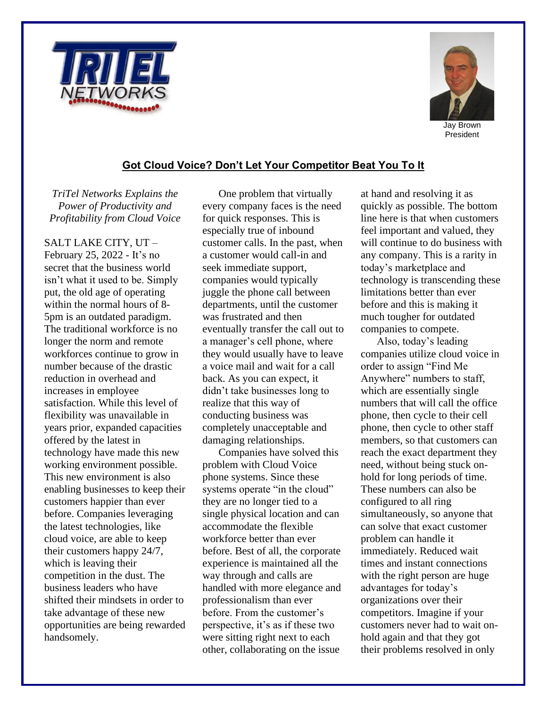



## **Got Cloud Voice? Don't Let Your Competitor Beat You To It**

*TriTel Networks Explains the Power of Productivity and Profitability from Cloud Voice*

SALT LAKE CITY, UT – February 25, 2022 - It's no secret that the business world isn't what it used to be. Simply put, the old age of operating within the normal hours of 8- 5pm is an outdated paradigm. The traditional workforce is no longer the norm and remote workforces continue to grow in number because of the drastic reduction in overhead and increases in employee satisfaction. While this level of flexibility was unavailable in years prior, expanded capacities offered by the latest in technology have made this new working environment possible. This new environment is also enabling businesses to keep their customers happier than ever before. Companies leveraging the latest technologies, like cloud voice, are able to keep their customers happy 24/7, which is leaving their competition in the dust. The business leaders who have shifted their mindsets in order to take advantage of these new opportunities are being rewarded handsomely.

One problem that virtually every company faces is the need for quick responses. This is especially true of inbound customer calls. In the past, when a customer would call-in and seek immediate support, companies would typically juggle the phone call between departments, until the customer was frustrated and then eventually transfer the call out to a manager's cell phone, where they would usually have to leave a voice mail and wait for a call back. As you can expect, it didn't take businesses long to realize that this way of conducting business was completely unacceptable and damaging relationships.

Companies have solved this problem with Cloud Voice phone systems. Since these systems operate "in the cloud" they are no longer tied to a single physical location and can accommodate the flexible workforce better than ever before. Best of all, the corporate experience is maintained all the way through and calls are handled with more elegance and professionalism than ever before. From the customer's perspective, it's as if these two were sitting right next to each other, collaborating on the issue

at hand and resolving it as quickly as possible. The bottom line here is that when customers feel important and valued, they will continue to do business with any company. This is a rarity in today's marketplace and technology is transcending these limitations better than ever before and this is making it much tougher for outdated companies to compete.

Also, today's leading companies utilize cloud voice in order to assign "Find Me Anywhere" numbers to staff, which are essentially single numbers that will call the office phone, then cycle to their cell phone, then cycle to other staff members, so that customers can reach the exact department they need, without being stuck onhold for long periods of time. These numbers can also be configured to all ring simultaneously, so anyone that can solve that exact customer problem can handle it immediately. Reduced wait times and instant connections with the right person are huge advantages for today's organizations over their competitors. Imagine if your customers never had to wait onhold again and that they got their problems resolved in only